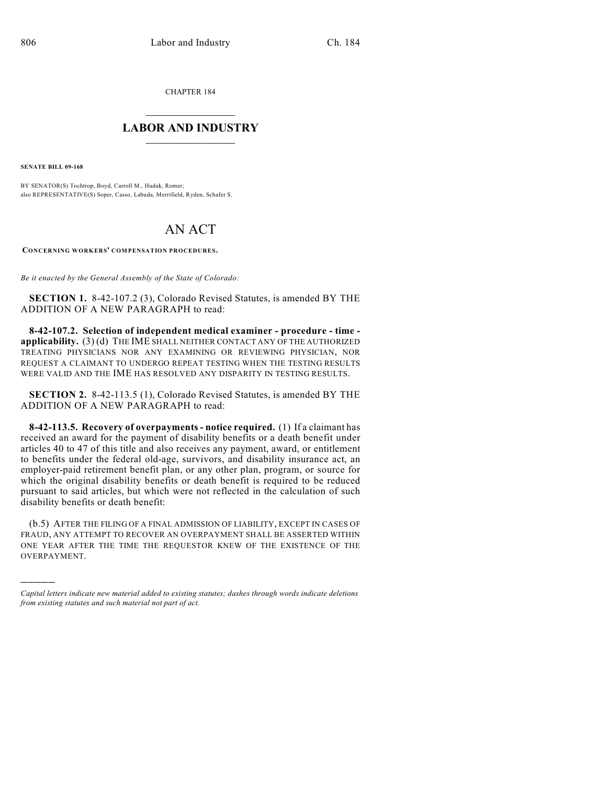CHAPTER 184

## $\mathcal{L}_\text{max}$  . The set of the set of the set of the set of the set of the set of the set of the set of the set of the set of the set of the set of the set of the set of the set of the set of the set of the set of the set **LABOR AND INDUSTRY**  $\frac{1}{\sqrt{2}}$  ,  $\frac{1}{\sqrt{2}}$  ,  $\frac{1}{\sqrt{2}}$  ,  $\frac{1}{\sqrt{2}}$  ,  $\frac{1}{\sqrt{2}}$  ,  $\frac{1}{\sqrt{2}}$

**SENATE BILL 09-168**

)))))

BY SENATOR(S) Tochtrop, Boyd, Carroll M., Hudak, Romer; also REPRESENTATIVE(S) Soper, Casso, Labuda, Merrifield, Ryden, Schafer S.

## AN ACT

**CONCERNING WORKERS' COMPENSATION PROCEDURES.**

*Be it enacted by the General Assembly of the State of Colorado:*

**SECTION 1.** 8-42-107.2 (3), Colorado Revised Statutes, is amended BY THE ADDITION OF A NEW PARAGRAPH to read:

**8-42-107.2. Selection of independent medical examiner - procedure - time applicability.** (3) (d) THE IME SHALL NEITHER CONTACT ANY OF THE AUTHORIZED TREATING PHYSICIANS NOR ANY EXAMINING OR REVIEWING PHYSICIAN, NOR REQUEST A CLAIMANT TO UNDERGO REPEAT TESTING WHEN THE TESTING RESULTS WERE VALID AND THE IME HAS RESOLVED ANY DISPARITY IN TESTING RESULTS.

**SECTION 2.** 8-42-113.5 (1), Colorado Revised Statutes, is amended BY THE ADDITION OF A NEW PARAGRAPH to read:

**8-42-113.5. Recovery of overpayments - notice required.** (1) If a claimant has received an award for the payment of disability benefits or a death benefit under articles 40 to 47 of this title and also receives any payment, award, or entitlement to benefits under the federal old-age, survivors, and disability insurance act, an employer-paid retirement benefit plan, or any other plan, program, or source for which the original disability benefits or death benefit is required to be reduced pursuant to said articles, but which were not reflected in the calculation of such disability benefits or death benefit:

(b.5) AFTER THE FILING OF A FINAL ADMISSION OF LIABILITY, EXCEPT IN CASES OF FRAUD, ANY ATTEMPT TO RECOVER AN OVERPAYMENT SHALL BE ASSERTED WITHIN ONE YEAR AFTER THE TIME THE REQUESTOR KNEW OF THE EXISTENCE OF THE OVERPAYMENT.

*Capital letters indicate new material added to existing statutes; dashes through words indicate deletions from existing statutes and such material not part of act.*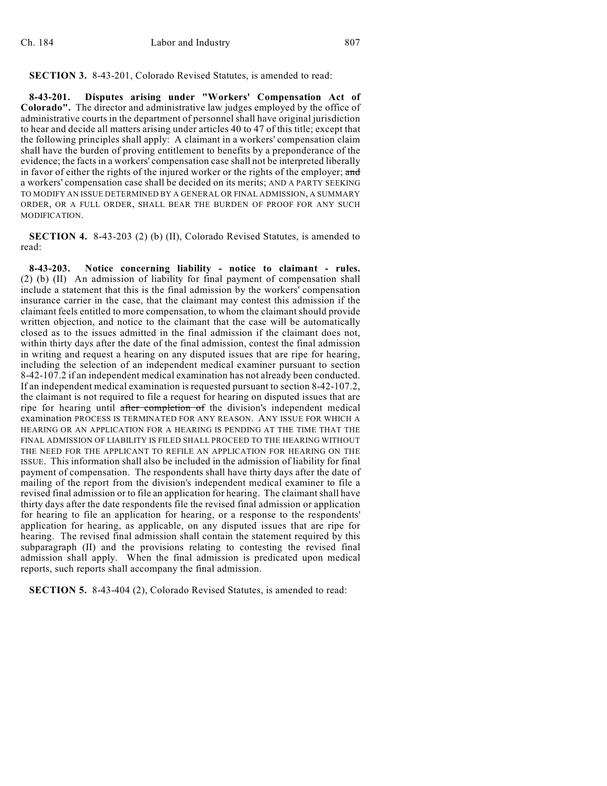## **SECTION 3.** 8-43-201, Colorado Revised Statutes, is amended to read:

**8-43-201. Disputes arising under "Workers' Compensation Act of Colorado".** The director and administrative law judges employed by the office of administrative courts in the department of personnel shall have original jurisdiction to hear and decide all matters arising under articles 40 to 47 of this title; except that the following principles shall apply: A claimant in a workers' compensation claim shall have the burden of proving entitlement to benefits by a preponderance of the evidence; the facts in a workers' compensation case shall not be interpreted liberally in favor of either the rights of the injured worker or the rights of the employer; and a workers' compensation case shall be decided on its merits; AND A PARTY SEEKING TO MODIFY AN ISSUE DETERMINED BY A GENERAL OR FINAL ADMISSION, A SUMMARY ORDER, OR A FULL ORDER, SHALL BEAR THE BURDEN OF PROOF FOR ANY SUCH MODIFICATION.

**SECTION 4.** 8-43-203 (2) (b) (II), Colorado Revised Statutes, is amended to read:

**8-43-203. Notice concerning liability - notice to claimant - rules.** (2) (b) (II) An admission of liability for final payment of compensation shall include a statement that this is the final admission by the workers' compensation insurance carrier in the case, that the claimant may contest this admission if the claimant feels entitled to more compensation, to whom the claimant should provide written objection, and notice to the claimant that the case will be automatically closed as to the issues admitted in the final admission if the claimant does not, within thirty days after the date of the final admission, contest the final admission in writing and request a hearing on any disputed issues that are ripe for hearing, including the selection of an independent medical examiner pursuant to section 8-42-107.2 if an independent medical examination has not already been conducted. If an independent medical examination is requested pursuant to section 8-42-107.2, the claimant is not required to file a request for hearing on disputed issues that are ripe for hearing until after completion of the division's independent medical examination PROCESS IS TERMINATED FOR ANY REASON. ANY ISSUE FOR WHICH A HEARING OR AN APPLICATION FOR A HEARING IS PENDING AT THE TIME THAT THE FINAL ADMISSION OF LIABILITY IS FILED SHALL PROCEED TO THE HEARING WITHOUT THE NEED FOR THE APPLICANT TO REFILE AN APPLICATION FOR HEARING ON THE ISSUE. This information shall also be included in the admission of liability for final payment of compensation. The respondents shall have thirty days after the date of mailing of the report from the division's independent medical examiner to file a revised final admission or to file an application for hearing. The claimant shall have thirty days after the date respondents file the revised final admission or application for hearing to file an application for hearing, or a response to the respondents' application for hearing, as applicable, on any disputed issues that are ripe for hearing. The revised final admission shall contain the statement required by this subparagraph (II) and the provisions relating to contesting the revised final admission shall apply. When the final admission is predicated upon medical reports, such reports shall accompany the final admission.

**SECTION 5.** 8-43-404 (2), Colorado Revised Statutes, is amended to read: